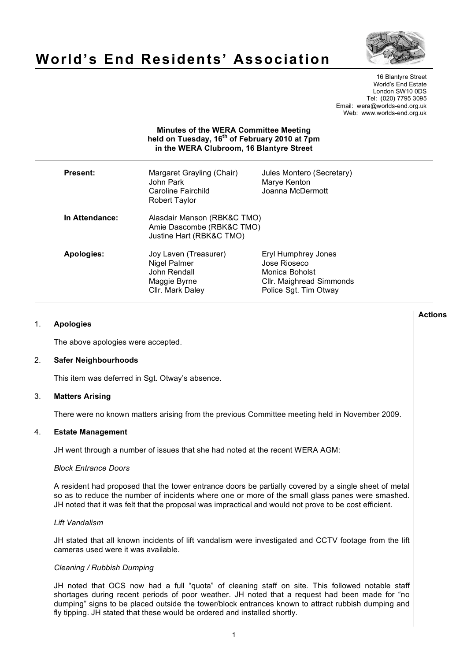

# **World's End Residents' Association**

16 Blantyre Street World's End Estate London SW10 0DS Tel: (020) 7795 3095 Email: wera@worlds-end.org.uk Web: www.worlds-end.org.uk

# **Minutes of the WERA Committee Meeting held on Tuesday, 16th of February 2010 at 7pm in the WERA Clubroom, 16 Blantyre Street**

| Present:       | Margaret Grayling (Chair)<br>John Park<br>Caroline Fairchild<br>Robert Taylor             | Jules Montero (Secretary)<br>Marye Kenton<br>Joanna McDermott                                                     |  |
|----------------|-------------------------------------------------------------------------------------------|-------------------------------------------------------------------------------------------------------------------|--|
| In Attendance: | Justine Hart (RBK&C TMO)                                                                  | Alasdair Manson (RBK&C TMO)<br>Amie Dascombe (RBK&C TMO)                                                          |  |
| Apologies:     | Joy Laven (Treasurer)<br>Nigel Palmer<br>John Rendall<br>Maggie Byrne<br>Cllr. Mark Daley | <b>Eryl Humphrey Jones</b><br>Jose Rioseco<br>Monica Boholst<br>Cllr. Maighread Simmonds<br>Police Sgt. Tim Otway |  |

## 1. **Apologies**

The above apologies were accepted.

## 2. **Safer Neighbourhoods**

This item was deferred in Sgt. Otway's absence.

## 3. **Matters Arising**

There were no known matters arising from the previous Committee meeting held in November 2009.

## 4. **Estate Management**

JH went through a number of issues that she had noted at the recent WERA AGM:

# *Block Entrance Doors*

A resident had proposed that the tower entrance doors be partially covered by a single sheet of metal so as to reduce the number of incidents where one or more of the small glass panes were smashed. JH noted that it was felt that the proposal was impractical and would not prove to be cost efficient.

#### *Lift Vandalism*

JH stated that all known incidents of lift vandalism were investigated and CCTV footage from the lift cameras used were it was available.

#### *Cleaning / Rubbish Dumping*

JH noted that OCS now had a full "quota" of cleaning staff on site. This followed notable staff shortages during recent periods of poor weather. JH noted that a request had been made for "no dumping" signs to be placed outside the tower/block entrances known to attract rubbish dumping and fly tipping. JH stated that these would be ordered and installed shortly.

**Actions**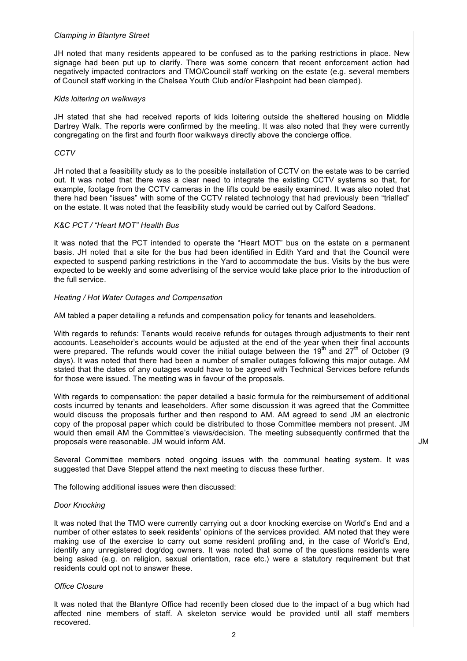## *Clamping in Blantyre Street*

JH noted that many residents appeared to be confused as to the parking restrictions in place. New signage had been put up to clarify. There was some concern that recent enforcement action had negatively impacted contractors and TMO/Council staff working on the estate (e.g. several members of Council staff working in the Chelsea Youth Club and/or Flashpoint had been clamped).

## *Kids loitering on walkways*

JH stated that she had received reports of kids loitering outside the sheltered housing on Middle Dartrey Walk. The reports were confirmed by the meeting. It was also noted that they were currently congregating on the first and fourth floor walkways directly above the concierge office.

## *CCTV*

JH noted that a feasibility study as to the possible installation of CCTV on the estate was to be carried out. It was noted that there was a clear need to integrate the existing CCTV systems so that, for example, footage from the CCTV cameras in the lifts could be easily examined. It was also noted that there had been "issues" with some of the CCTV related technology that had previously been "trialled" on the estate. It was noted that the feasibility study would be carried out by Calford Seadons.

## *K&C PCT / "Heart MOT" Health Bus*

It was noted that the PCT intended to operate the "Heart MOT" bus on the estate on a permanent basis. JH noted that a site for the bus had been identified in Edith Yard and that the Council were expected to suspend parking restrictions in the Yard to accommodate the bus. Visits by the bus were expected to be weekly and some advertising of the service would take place prior to the introduction of the full service.

## *Heating / Hot Water Outages and Compensation*

AM tabled a paper detailing a refunds and compensation policy for tenants and leaseholders.

With regards to refunds: Tenants would receive refunds for outages through adjustments to their rent accounts. Leaseholder's accounts would be adjusted at the end of the year when their final accounts were prepared. The refunds would cover the initial outage between the 19<sup>th</sup> and 27<sup>th</sup> of October (9 days). It was noted that there had been a number of smaller outages following this major outage. AM stated that the dates of any outages would have to be agreed with Technical Services before refunds for those were issued. The meeting was in favour of the proposals.

With regards to compensation: the paper detailed a basic formula for the reimbursement of additional costs incurred by tenants and leaseholders. After some discussion it was agreed that the Committee would discuss the proposals further and then respond to AM. AM agreed to send JM an electronic copy of the proposal paper which could be distributed to those Committee members not present. JM would then email AM the Committee's views/decision. The meeting subsequently confirmed that the proposals were reasonable. JM would inform AM.

Several Committee members noted ongoing issues with the communal heating system. It was suggested that Dave Steppel attend the next meeting to discuss these further.

The following additional issues were then discussed:

#### *Door Knocking*

It was noted that the TMO were currently carrying out a door knocking exercise on World's End and a number of other estates to seek residents' opinions of the services provided. AM noted that they were making use of the exercise to carry out some resident profiling and, in the case of World's End, identify any unregistered dog/dog owners. It was noted that some of the questions residents were being asked (e.g. on religion, sexual orientation, race etc.) were a statutory requirement but that residents could opt not to answer these.

#### *Office Closure*

It was noted that the Blantyre Office had recently been closed due to the impact of a bug which had affected nine members of staff. A skeleton service would be provided until all staff members recovered.

JM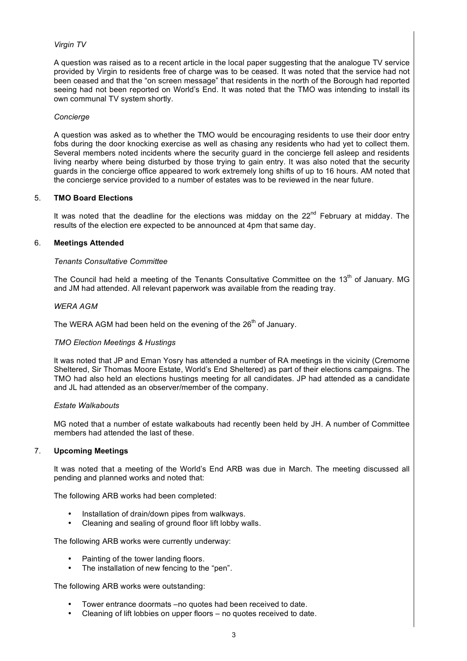# *Virgin TV*

A question was raised as to a recent article in the local paper suggesting that the analogue TV service provided by Virgin to residents free of charge was to be ceased. It was noted that the service had not been ceased and that the "on screen message" that residents in the north of the Borough had reported seeing had not been reported on World's End. It was noted that the TMO was intending to install its own communal TV system shortly.

## *Concierge*

A question was asked as to whether the TMO would be encouraging residents to use their door entry fobs during the door knocking exercise as well as chasing any residents who had yet to collect them. Several members noted incidents where the security guard in the concierge fell asleep and residents living nearby where being disturbed by those trying to gain entry. It was also noted that the security guards in the concierge office appeared to work extremely long shifts of up to 16 hours. AM noted that the concierge service provided to a number of estates was to be reviewed in the near future.

# 5. **TMO Board Elections**

It was noted that the deadline for the elections was midday on the  $22^{nd}$  February at midday. The results of the election ere expected to be announced at 4pm that same day.

# 6. **Meetings Attended**

# *Tenants Consultative Committee*

The Council had held a meeting of the Tenants Consultative Committee on the 13<sup>th</sup> of January. MG and JM had attended. All relevant paperwork was available from the reading tray.

# *WERA AGM*

The WERA AGM had been held on the evening of the 26<sup>th</sup> of January.

## *TMO Election Meetings & Hustings*

It was noted that JP and Eman Yosry has attended a number of RA meetings in the vicinity (Cremorne Sheltered, Sir Thomas Moore Estate, World's End Sheltered) as part of their elections campaigns. The TMO had also held an elections hustings meeting for all candidates. JP had attended as a candidate and JL had attended as an observer/member of the company.

## *Estate Walkabouts*

MG noted that a number of estate walkabouts had recently been held by JH. A number of Committee members had attended the last of these.

# 7. **Upcoming Meetings**

It was noted that a meeting of the World's End ARB was due in March. The meeting discussed all pending and planned works and noted that:

The following ARB works had been completed:

- Installation of drain/down pipes from walkways.
- Cleaning and sealing of ground floor lift lobby walls.

The following ARB works were currently underway:

- Painting of the tower landing floors.
- The installation of new fencing to the "pen".

The following ARB works were outstanding:

- Tower entrance doormats –no quotes had been received to date.
- Cleaning of lift lobbies on upper floors no quotes received to date.